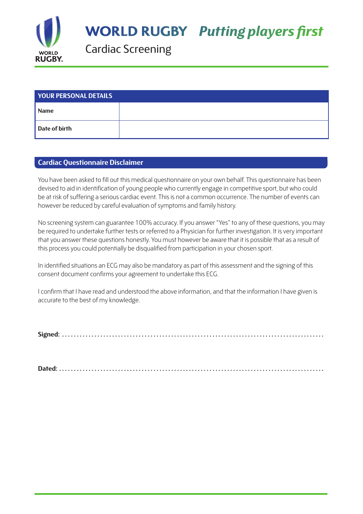

**WORLD RUGBY Putting players first** 

Cardiac Screening

| <b>YOUR PERSONAL DETAILS</b> |  |  |  |  |
|------------------------------|--|--|--|--|
| <b>Name</b>                  |  |  |  |  |
| Date of birth                |  |  |  |  |

## **Cardiac Questionnaire Disclaimer**

You have been asked to fill out this medical questionnaire on your own behalf. This questionnaire has been devised to aid in identification of young people who currently engage in competitive sport, but who could be at risk of suffering a serious cardiac event. This is not a common occurrence. The number of events can however be reduced by careful evaluation of symptoms and family history.

No screening system can guarantee 100% accuracy. If you answer "Yes" to any of these questions, you may be required to undertake further tests or referred to a Physician for further investigation. It is very important that you answer these questions honestly. You must however be aware that it is possible that as a result of this process you could potentially be disqualified from participation in your chosen sport.

In identified situations an ECG may also be mandatory as part of this assessment and the signing of this consent document confirms your agreement to undertake this ECG.

I confirm that I have read and understood the above information, and that the information I have given is accurate to the best of my knowledge.

**Signed: . . . . . . . . . . . . . . . . . . . . . . . . . . . . . . . . . . . . . . . . . . . . . . . . . . . . . . . . . . . . . . . . . . . . . . . . . . . . . . . . . . . . . . . . .**

**Dated: . . . . . . . . . . . . . . . . . . . . . . . . . . . . . . . . . . . . . . . . . . . . . . . . . . . . . . . . . . . . . . . . . . . . . . . . . . . . . . . . . . . . . . . . . .**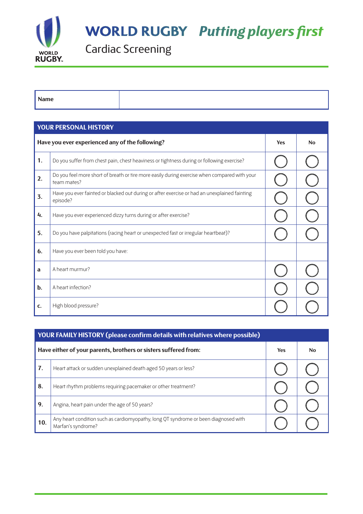

**WORLD RUGBY Putting players first** 

Cardiac Screening

**Name**

| <b>YOUR PERSONAL HISTORY</b>                    |                                                                                                             |     |           |  |
|-------------------------------------------------|-------------------------------------------------------------------------------------------------------------|-----|-----------|--|
| Have you ever experienced any of the following? |                                                                                                             | Yes | <b>No</b> |  |
| 1.                                              | Do you suffer from chest pain, chest heaviness or tightness during or following exercise?                   |     |           |  |
| 2.                                              | Do you feel more short of breath or tire more easily during exercise when compared with your<br>team mates? |     |           |  |
| 3.                                              | Have you ever fainted or blacked out during or after exercise or had an unexplained fainting<br>episode?    |     |           |  |
| 4.                                              | Have you ever experienced dizzy turns during or after exercise?                                             |     |           |  |
| 5.                                              | Do you have palpitations (racing heart or unexpected fast or irregular heartbeat)?                          |     |           |  |
| 6.                                              | Have you ever been told you have:                                                                           |     |           |  |
| a                                               | A heart murmur?                                                                                             |     |           |  |
| $b$ .                                           | A heart infection?                                                                                          |     |           |  |
| C.                                              | High blood pressure?                                                                                        |     |           |  |

| YOUR FAMILY HISTORY (please confirm details with relatives where possible) |                                                                                                           |            |           |  |  |
|----------------------------------------------------------------------------|-----------------------------------------------------------------------------------------------------------|------------|-----------|--|--|
| Have either of your parents, brothers or sisters suffered from:            |                                                                                                           | <b>Yes</b> | <b>No</b> |  |  |
| 7.                                                                         | Heart attack or sudden unexplained death aged 50 years or less?                                           |            |           |  |  |
| 8.                                                                         | Heart rhythm problems requiring pacemaker or other treatment?                                             |            |           |  |  |
| 9.                                                                         | Angina, heart pain under the age of 50 years?                                                             |            |           |  |  |
| 10.                                                                        | Any heart condition such as cardiomyopathy, long QT syndrome or been diagnosed with<br>Marfan's syndrome? |            |           |  |  |